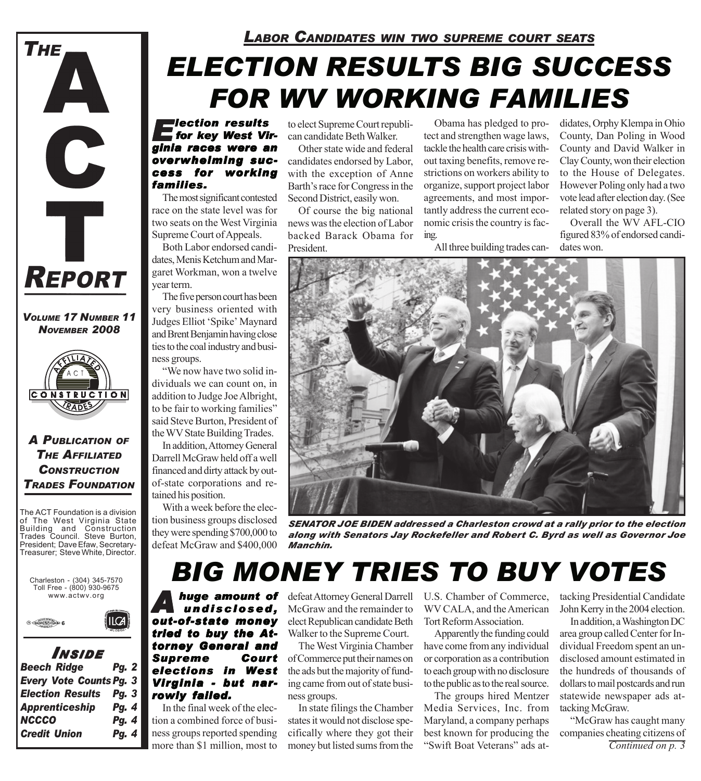

*VOLUME 17 NUMBER 11 NOVEMBER 2008*



#### *A PUBLICATION OF THE AFFILIATED CONSTRUCTION TRADES FOUNDATION*

The ACT Foundation is a division of The West Virginia State Building and Construction Trades Council. Steve Burton, President; Dave Efaw, Secretary-Treasurer; Steve White, Director.





#### *I NSIDE Beech Ridge Pg. 2*

| RAIN IN DACK                   | .            |  |
|--------------------------------|--------------|--|
| <b>Every Vote Counts Pg. 3</b> |              |  |
| <b>Election Results Pg. 3</b>  |              |  |
| <b>Apprenticeship</b>          | <b>Pg. 4</b> |  |
| <b>NCCCO</b>                   | Pg. 4        |  |
| <b>Credit Union</b>            | Pg. 4        |  |

### *LABOR CANDIDATES WIN TWO SUPREME COURT SEATS*

# *ELECTION RESULTS BIG SUCCESS FOR WV WORKING FAMILIES*

*Election results for key West Vir- for key West Virginia races were an overwhelming suc- helming success for working families. families.*

The most significant contested race on the state level was for two seats on the West Virginia Supreme Court of Appeals.

Both Labor endorsed candidates, Menis Ketchum and Margaret Workman, won a twelve year term.

The five person court has been very business oriented with Judges Elliot 'Spike' Maynard and Brent Benjamin having close ties to the coal industry and business groups.

"We now have two solid individuals we can count on, in addition to Judge Joe Albright, to be fair to working families" said Steve Burton, President of the WV State Building Trades.

In addition, Attorney General Darrell McGraw held off a well financed and dirty attack by outof-state corporations and retained his position.

With a week before the election business groups disclosed they were spending \$700,000 to defeat McGraw and \$400,000 to elect Supreme Court republican candidate Beth Walker.

Other state wide and federal candidates endorsed by Labor, with the exception of Anne Barth's race for Congress in the Second District, easily won.

Of course the big national news was the election of Labor backed Barack Obama for President.

Obama has pledged to protect and strengthen wage laws, tackle the health care crisis without taxing benefits, remove restrictions on workers ability to organize, support project labor agreements, and most importantly address the current economic crisis the country is facing.

All three building trades can-

didates, Orphy Klempa in Ohio County, Dan Poling in Wood County and David Walker in Clay County, won their election to the House of Delegates. However Poling only had a two vote lead after election day. (See related story on page 3).

Overall the WV AFL-CIO figured 83% of endorsed candidates won.



*SENATOR JOE BIDEN addressed a Charleston crowd at a rally prior to the election along with Senators Jay Rockefeller and Robert C. Byrd as well as Governor Joe Manchin.*

## *BIG MONEY TRIES TO BUY VOTES*

*Ahuge amount of huge undisclosed, undisclosed, out-of-state money tried to buy the At- tried to buy Attorney General and* **Supreme Court** *elections in West Virginia - but nar- Virginia but narrowly failed. rowly failed.*

In the final week of the election a combined force of business groups reported spending

defeat Attorney General Darrell McGraw and the remainder to elect Republican candidate Beth Walker to the Supreme Court.

The West Virginia Chamber of Commerce put their names on the ads but the majority of funding came from out of state business groups.

In state filings the Chamber states it would not disclose specifically where they got their U.S. Chamber of Commerce, WV CALA, and the American Tort Reform Association.

Apparently the funding could have come from any individual or corporation as a contribution to each group with no disclosure to the public as to the real source.

more than \$1 million, most to money but listed sums from the "Swift Boat Veterans" ads at-<br>
Continued on p. 3 The groups hired Mentzer Media Services, Inc. from Maryland, a company perhaps best known for producing the "Swift Boat Veterans" ads at-

tacking Presidential Candidate John Kerry in the 2004 election.

In addition, a Washington DC area group called Center for Individual Freedom spent an undisclosed amount estimated in the hundreds of thousands of dollars to mail postcards and run statewide newspaper ads attacking McGraw.

"McGraw has caught many companies cheating citizens of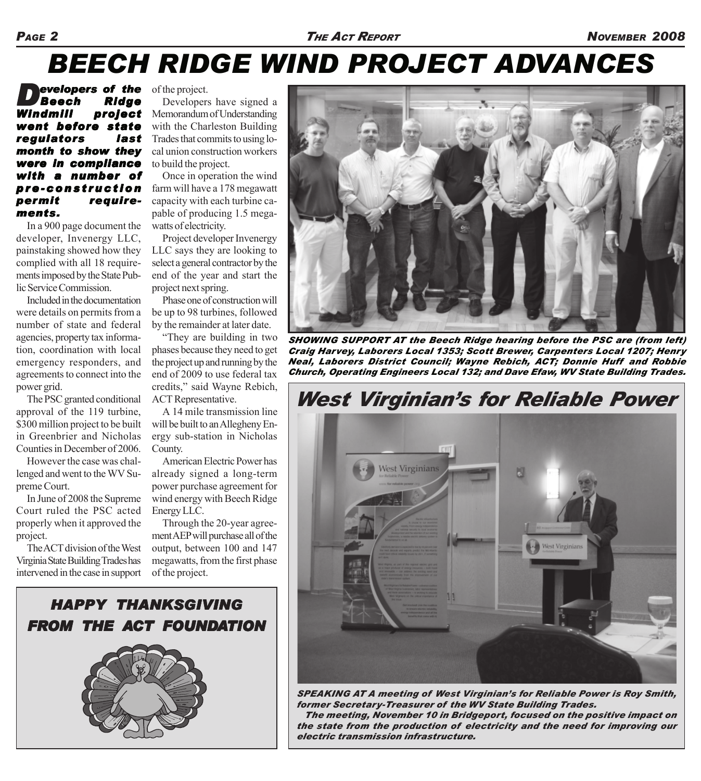# *BEECH RIDGE WIND PROJECT ADVANCES*

*Developers of the Beech Ridge Windmill project went before state regulators last month to show they were in compliance with a number of with of pre-construction permit requirements.*

In a 900 page document the developer, Invenergy LLC, painstaking showed how they complied with all 18 requirements imposed by the State Public Service Commission.

Included in the documentation were details on permits from a number of state and federal agencies, property tax information, coordination with local emergency responders, and agreements to connect into the power grid.

The PSC granted conditional approval of the 119 turbine, \$300 million project to be built in Greenbrier and Nicholas Counties in December of 2006.

However the case was challenged and went to the WV Supreme Court.

In June of 2008 the Supreme Court ruled the PSC acted properly when it approved the project.

The ACT division of the West Virginia State Building Trades has intervened in the case in support of the project.

Developers have signed a Memorandum of Understanding with the Charleston Building Trades that commits to using local union construction workers to build the project.

Once in operation the wind farm will have a 178 megawatt capacity with each turbine capable of producing 1.5 megawatts of electricity.

Project developer Invenergy LLC says they are looking to select a general contractor by the end of the year and start the project next spring.

Phase one of construction will be up to 98 turbines, followed by the remainder at later date.

"They are building in two phases because they need to get the project up and running by the end of 2009 to use federal tax credits," said Wayne Rebich, ACT Representative.

A 14 mile transmission line will be built to an Allegheny Energy sub-station in Nicholas County.

American Electric Power has already signed a long-term power purchase agreement for wind energy with Beech Ridge Energy LLC.

Through the 20-year agreement AEP will purchase all of the output, between 100 and 147 megawatts, from the first phase of the project.



*SHOWING SUPPORT AT the Beech Ridge hearing before the PSC are (from left) Craig Harvey, Laborers Local 1353; Scott Brewer, Carpenters Local 1207; Henry Neal, Laborers District Council; Wayne Rebich, ACT; Donnie Huff and Robbie Church, Operating Engineers Local 132; and Dave Efaw, WV State Building Trades.*

*West Virginian's for Reliable Power*



*SPEAKING AT A meeting of West Virginian's for Reliable Power is Roy Smith, former Secretary-Treasurer of the WV State Building Trades. The meeting, November 10 in Bridgeport, focused on the positive impact on the state from the production of electricity and the need for improving our electric transmission infrastructure.*

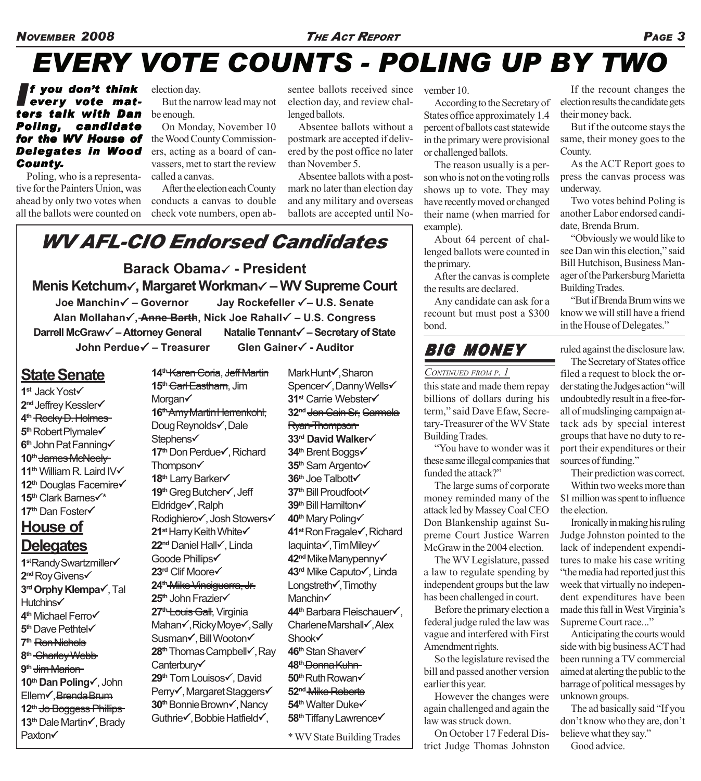# *EVERY VOTE COUNTS - POLING UP BY TWO*

#### *If you don't think* every vote mat*ters talk with Dan Poling, candidate for the WV House of for the WV House of Delegates in Wood County.*

Poling, who is a representative for the Painters Union, was ahead by only two votes when all the ballots were counted on

election day.

But the narrow lead may not be enough.

On Monday, November 10 the Wood County Commissioners, acting as a board of canvassers, met to start the review called a canvas.

After the election each County conducts a canvas to double check vote numbers, open absentee ballots received since election day, and review challenged ballots.

Absentee ballots without a postmark are accepted if delivered by the post office no later than November 5.

Absentee ballots with a postmark no later than election day and any military and overseas ballots are accepted until No-

### *WV AFL-CIO Endorsed Candidates*

**Barack Obama**3 **- President Menis Ketchum**3**, Margaret Workman**3 **– WV Supreme Court Joe Manchin**3 **– Governor Jay Rockefeller** 3**– U.S. Senate Alan Mollahan**3**, Anne Barth, Nick Joe Rahall**3 **– U.S. Congress Darrell McGraw**3 **– Attorney General Natalie Tennant**3 **– Secretary of State John Perdue√ – Treasurer Glen Gainer√ - Auditor** 

### **State Senate**

- **1st Jack Yost√ 2<sup>nd</sup> Jeffrey Kessler√ 4th** Rocky D. Holmes **5<sup>th</sup>** Robert Plymale√ **6<sup>th</sup> John Pat Fanning√** 10<sup>th</sup> James McNeely 11<sup>th</sup> William R. Laird IV $\checkmark$ **12<sup>th</sup> Douglas Facemire√ 15<sup>th</sup> Clark Barnes√\* 17<sup>th</sup>** Dan Foster√ **House of Delegates**
- **1st Randy Swartzmiller√ 2<sup>nd</sup>** Roy Givens√ **3<sup>rd</sup> Orphy Klempa√**, Tal **Hutchins√ 4<sup>th</sup>** Michael Ferro√ **5<sup>th</sup>** Dave Pethtel√ **7th** Ron Nichols **8th** Charley Webb **9th** Jim Marion **10th Dan Poling**3, John Ellem√, Brenda Brum **12th** Jo Boggess Phillips **13<sup>th</sup> Dale Martin√, Brady Paxton√**

**14th** Karen Coria, Jeff Martin **15th** Carl Eastham, Jim Morgan√ 16<sup>th</sup> Amy Martin Herrenkohl, Doug Reynolds√, Dale Stephens√ **17<sup>th</sup> Don Perdue√, Richard** Thompson $\checkmark$ **18<sup>th</sup>** Larry Barker√ **19<sup>th</sup> Greg Butcher√, Jeff** Eldridge√, Ralph Rodighiero√, Josh Stowers√ **21st Harry Keith White√ 22<sup>nd</sup> Daniel Hall√, Linda** Goode Phillips√ **23<sup>rd</sup>** Clif Moore√ **24th** Mike Vinciguerra, Jr. **25<sup>th</sup> John Frazier√ 27th** Louis Gall, Virginia Mahan√, Ricky Moye√, Sally Susman√, Bill Wooton√ **28<sup>th</sup> Thomas Campbell√, Ray** Canterbury√ **29<sup>th</sup> Tom Louisos√**, David Perry√, Margaret Staggers√ **30<sup>th</sup> Bonnie Brown√, Nancy** Guthrie√, Bobbie Hatfield√,

Mark Hunt√, Sharon Spencer√, Danny Wells√ **31<sup>st</sup> Carrie Webster√ 32nd** Jon Cain Sr, Carmela Ryan-Thompson **33<sup>rd</sup> David Walker√ 34<sup>th</sup> Brent Boggs√ 35<sup>th</sup> Sam Argento√ 36<sup>th</sup> Joe Talbott√ 37<sup>th</sup> Bill Proudfoot√ 39<sup>th</sup> Bill Hamilton√ 40<sup>th</sup>** Mary Poling√ **41<sup>st</sup>** Ron Fragale√, Richard laquinta√, Tim Miley√ **42<sup>nd</sup>** Mike Manypenny√ **43<sup>rd</sup>** Mike Caputo√, Linda Longstreth√, Timothy Manchin√ **44<sup>th</sup> Barbara Fleischauer√**, Charlene Marshall√, Alex Shook√ **46<sup>th</sup> Stan Shaver√ 48th** Donna Kuhn **50<sup>th</sup>** Ruth Rowan√ **52nd** Mike Roberts **54<sup>th</sup>** Walter Duke√ **58<sup>th</sup> Tiffany Lawrence√** 

\* WV State Building Trades

vember 10.

According to the Secretary of States office approximately 1.4 percent of ballots cast statewide in the primary were provisional or challenged ballots.

The reason usually is a person who is not on the voting rolls shows up to vote. They may have recently moved or changed their name (when married for example).

About 64 percent of challenged ballots were counted in the primary.

After the canvas is complete the results are declared.

Any candidate can ask for a recount but must post a \$300 bond.

### *BIG MONEY*

#### *CONTINUED FROM P. 1*

this state and made them repay billions of dollars during his term," said Dave Efaw, Secretary-Treasurer of the WV State Building Trades.

"You have to wonder was it these same illegal companies that funded the attack?"

The large sums of corporate money reminded many of the attack led by Massey Coal CEO Don Blankenship against Supreme Court Justice Warren McGraw in the 2004 election.

The WV Legislature, passed a law to regulate spending by independent groups but the law has been challenged in court.

Before the primary election a federal judge ruled the law was vague and interfered with First Amendment rights.

So the legislature revised the bill and passed another version earlier this year.

However the changes were again challenged and again the law was struck down.

On October 17 Federal District Judge Thomas Johnston

If the recount changes the election results the candidate gets their money back.

But if the outcome stays the same, their money goes to the County.

As the ACT Report goes to press the canvas process was underway.

Two votes behind Poling is another Labor endorsed candidate, Brenda Brum.

"Obviously we would like to see Dan win this election," said Bill Hutchison, Business Manager of the Parkersburg Marietta Building Trades.

"But if Brenda Brum wins we know we will still have a friend in the House of Delegates."

ruled against the disclosure law.

The Secretary of States office filed a request to block the order stating the Judges action "will undoubtedly result in a free-forall of mudslinging campaign attack ads by special interest groups that have no duty to report their expenditures or their sources of funding."

Their prediction was correct. Within two weeks more than \$1 million was spent to influence the election.

Ironically in making his ruling Judge Johnston pointed to the lack of independent expenditures to make his case writing "the media had reported just this week that virtually no independent expenditures have been made this fall in West Virginia's Supreme Court race..."

Anticipating the courts would side with big business ACT had been running a TV commercial aimed at alerting the public to the barrage of political messages by unknown groups.

The ad basically said "If you don't know who they are, don't believe what they say." Good advice.